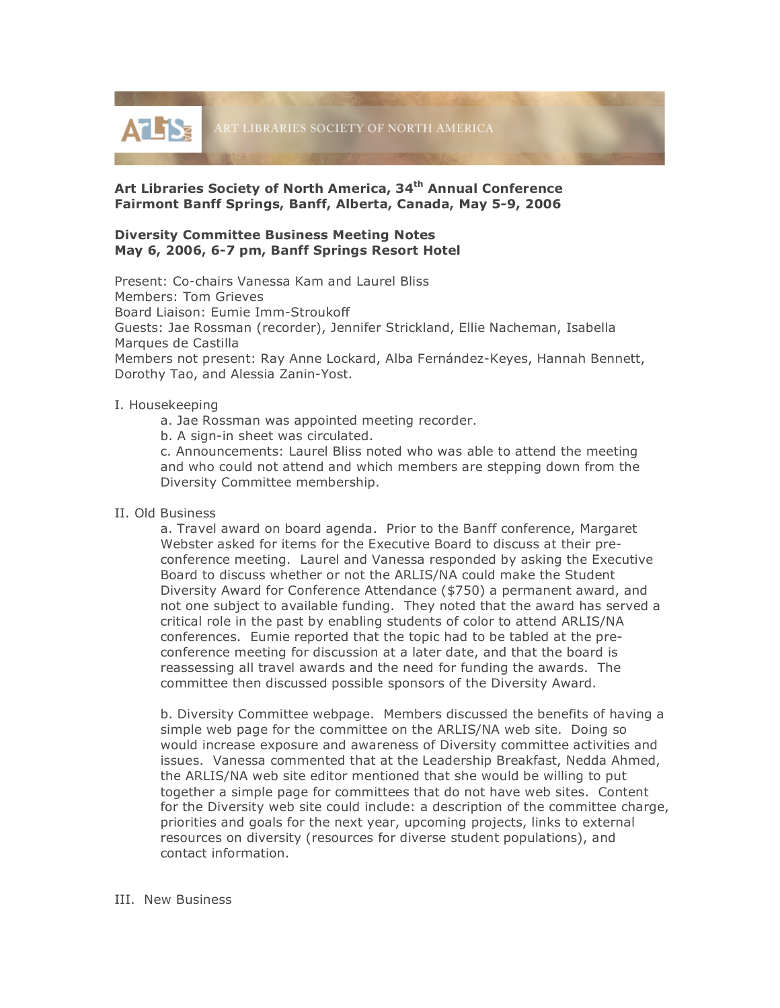

# **Art Libraries Society of North America, 34th Annual Conference Fairmont Banff Springs, Banff, Alberta, Canada, May 5-9, 2006**

## **Diversity Committee Business Meeting Notes May 6, 2006, 6-7 pm, Banff Springs Resort Hotel**

Present: Co-chairs Vanessa Kam and Laurel Bliss Members: Tom Grieves Board Liaison: Eumie Imm-Stroukoff Guests: Jae Rossman (recorder), Jennifer Strickland, Ellie Nacheman, Isabella Marques de Castilla Members not present: Ray Anne Lockard, Alba Fernández-Keyes, Hannah Bennett, Dorothy Tao, and Alessia Zanin-Yost.

## I. Housekeeping

- a. Jae Rossman was appointed meeting recorder.
- b. A sign-in sheet was circulated.

c. Announcements: Laurel Bliss noted who was able to attend the meeting and who could not attend and which members are stepping down from the Diversity Committee membership.

### II. Old Business

a. Travel award on board agenda. Prior to the Banff conference, Margaret Webster asked for items for the Executive Board to discuss at their preconference meeting. Laurel and Vanessa responded by asking the Executive Board to discuss whether or not the ARLIS/NA could make the Student Diversity Award for Conference Attendance (\$750) a permanent award, and not one subject to available funding. They noted that the award has served a critical role in the past by enabling students of color to attend ARLIS/NA conferences. Eumie reported that the topic had to be tabled at the preconference meeting for discussion at a later date, and that the board is reassessing all travel awards and the need for funding the awards. The committee then discussed possible sponsors of the Diversity Award.

b. Diversity Committee webpage. Members discussed the benefits of having a simple web page for the committee on the ARLIS/NA web site. Doing so would increase exposure and awareness of Diversity committee activities and issues. Vanessa commented that at the Leadership Breakfast, Nedda Ahmed, the ARLIS/NA web site editor mentioned that she would be willing to put together a simple page for committees that do not have web sites. Content for the Diversity web site could include: a description of the committee charge, priorities and goals for the next year, upcoming projects, links to external resources on diversity (resources for diverse student populations), and contact information.

### III. New Business